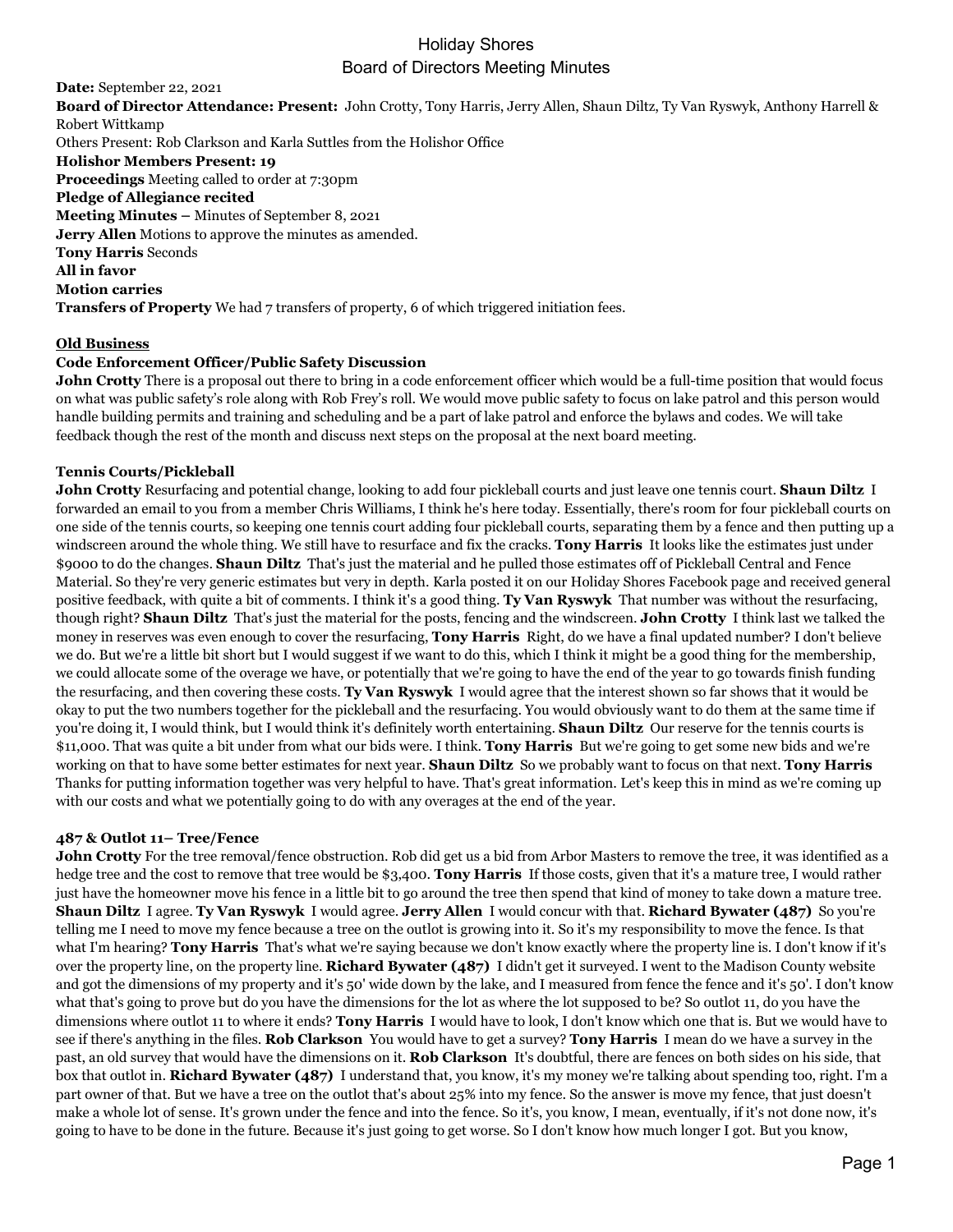**Date:** September 22, 2021 **Board of Director Attendance: Present:** John Crotty, Tony Harris, Jerry Allen, Shaun Diltz, Ty Van Ryswyk, Anthony Harrell & Robert Wittkamp Others Present: Rob Clarkson and Karla Suttles from the Holishor Office **Holishor Members Present: 19 Proceedings** Meeting called to order at 7:30pm **Pledge of Allegiance recited Meeting Minutes –** Minutes of September 8, 2021 **Jerry Allen** Motions to approve the minutes as amended. **Tony Harris** Seconds **All in favor Motion carries Transfers of Property** We had 7 transfers of property, 6 of which triggered initiation fees.

## **Old Business**

### **Code Enforcement Officer/Public Safety Discussion**

**John Crotty** There is a proposal out there to bring in a code enforcement officer which would be a full-time position that would focus on what was public safety's role along with Rob Frey's roll. We would move public safety to focus on lake patrol and this person would handle building permits and training and scheduling and be a part of lake patrol and enforce the bylaws and codes. We will take feedback though the rest of the month and discuss next steps on the proposal at the next board meeting.

### **Tennis Courts/Pickleball**

**John Crotty** Resurfacing and potential change, looking to add four pickleball courts and just leave one tennis court. **Shaun Diltz** I forwarded an email to you from a member Chris Williams, I think he's here today. Essentially, there's room for four pickleball courts on one side of the tennis courts, so keeping one tennis court adding four pickleball courts, separating them by a fence and then putting up a windscreen around the whole thing. We still have to resurface and fix the cracks. **Tony Harris** It looks like the estimates just under \$9000 to do the changes. **Shaun Diltz** That's just the material and he pulled those estimates off of Pickleball Central and Fence Material. So they're very generic estimates but very in depth. Karla posted it on our Holiday Shores Facebook page and received general positive feedback, with quite a bit of comments. I think it's a good thing. **Ty Van Ryswyk** That number was without the resurfacing, though right? **Shaun Diltz** That's just the material for the posts, fencing and the windscreen. **John Crotty** I think last we talked the money in reserves was even enough to cover the resurfacing, **Tony Harris** Right, do we have a final updated number? I don't believe we do. But we're a little bit short but I would suggest if we want to do this, which I think it might be a good thing for the membership, we could allocate some of the overage we have, or potentially that we're going to have the end of the year to go towards finish funding the resurfacing, and then covering these costs. **Ty Van Ryswyk** I would agree that the interest shown so far shows that it would be okay to put the two numbers together for the pickleball and the resurfacing. You would obviously want to do them at the same time if you're doing it, I would think, but I would think it's definitely worth entertaining. **Shaun Diltz** Our reserve for the tennis courts is \$11,000. That was quite a bit under from what our bids were. I think. **Tony Harris** But we're going to get some new bids and we're working on that to have some better estimates for next year. **Shaun Diltz** So we probably want to focus on that next. **Tony Harris** Thanks for putting information together was very helpful to have. That's great information. Let's keep this in mind as we're coming up with our costs and what we potentially going to do with any overages at the end of the year.

### **487 & Outlot 11– Tree/Fence**

**John Crotty** For the tree removal/fence obstruction. Rob did get us a bid from Arbor Masters to remove the tree, it was identified as a hedge tree and the cost to remove that tree would be \$3,400. **Tony Harris** If those costs, given that it's a mature tree, I would rather just have the homeowner move his fence in a little bit to go around the tree then spend that kind of money to take down a mature tree. **Shaun Diltz** I agree. **Ty Van Ryswyk** I would agree. **Jerry Allen** I would concur with that. **Richard Bywater (487)** So you're telling me I need to move my fence because a tree on the outlot is growing into it. So it's my responsibility to move the fence. Is that what I'm hearing? **Tony Harris** That's what we're saying because we don't know exactly where the property line is. I don't know if it's over the property line, on the property line. **Richard Bywater (487)** I didn't get it surveyed. I went to the Madison County website and got the dimensions of my property and it's 50' wide down by the lake, and I measured from fence the fence and it's 50'. I don't know what that's going to prove but do you have the dimensions for the lot as where the lot supposed to be? So outlot 11, do you have the dimensions where outlot 11 to where it ends? **Tony Harris** I would have to look, I don't know which one that is. But we would have to see if there's anything in the files. **Rob Clarkson** You would have to get a survey? **Tony Harris** I mean do we have a survey in the past, an old survey that would have the dimensions on it. **Rob Clarkson** It's doubtful, there are fences on both sides on his side, that box that outlot in. **Richard Bywater (487)** I understand that, you know, it's my money we're talking about spending too, right. I'm a part owner of that. But we have a tree on the outlot that's about 25% into my fence. So the answer is move my fence, that just doesn't make a whole lot of sense. It's grown under the fence and into the fence. So it's, you know, I mean, eventually, if it's not done now, it's going to have to be done in the future. Because it's just going to get worse. So I don't know how much longer I got. But you know,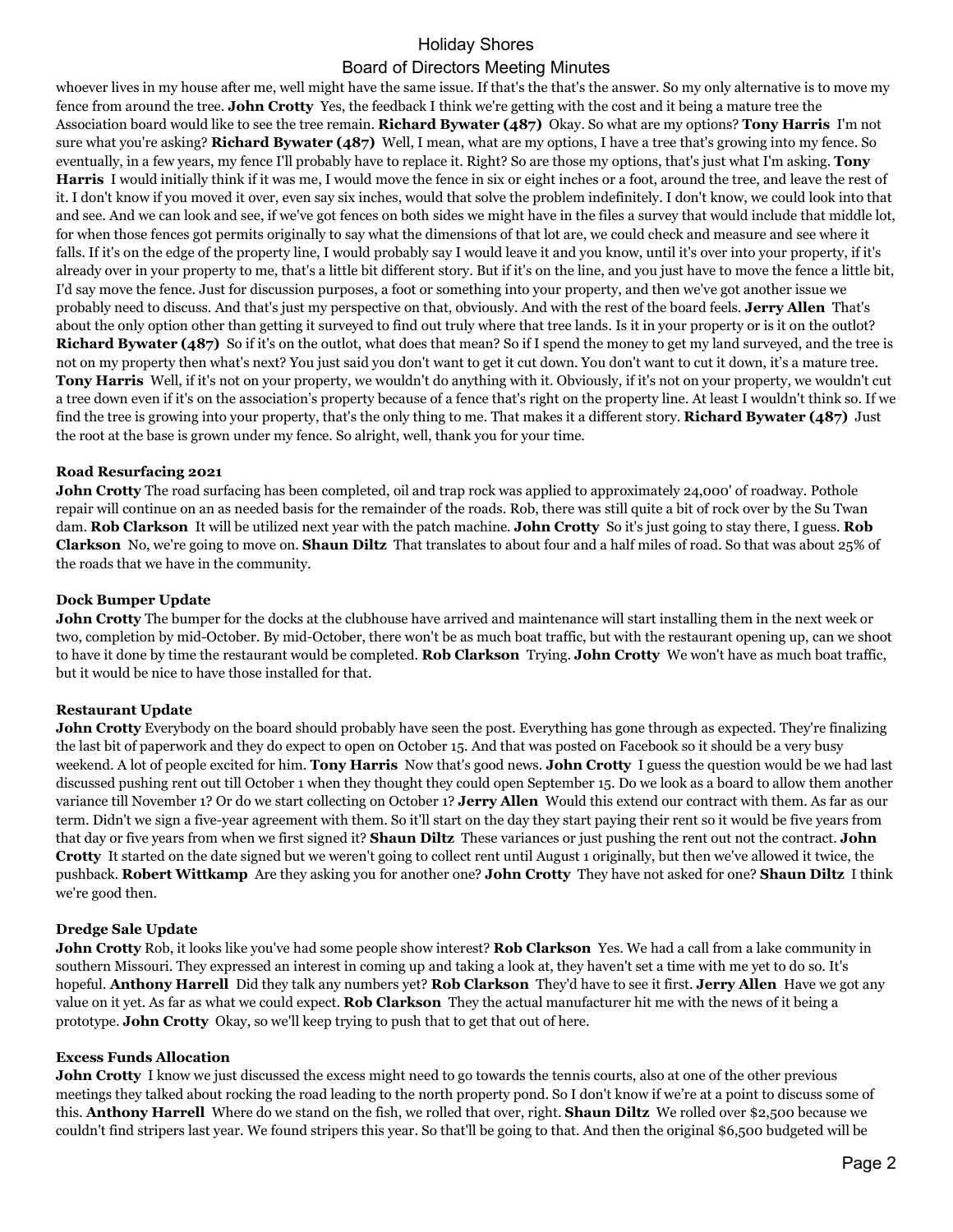whoever lives in my house after me, well might have the same issue. If that's the that's the answer. So my only alternative is to move my fence from around the tree. **John Crotty** Yes, the feedback I think we're getting with the cost and it being a mature tree the Association board would like to see the tree remain. **Richard Bywater (487)** Okay. So what are my options? **Tony Harris** I'm not sure what you're asking? **Richard Bywater (487)** Well, I mean, what are my options, I have a tree that's growing into my fence. So eventually, in a few years, my fence I'll probably have to replace it. Right? So are those my options, that's just what I'm asking. **Tony Harris** I would initially think if it was me, I would move the fence in six or eight inches or a foot, around the tree, and leave the rest of it. I don't know if you moved it over, even say six inches, would that solve the problem indefinitely. I don't know, we could look into that and see. And we can look and see, if we've got fences on both sides we might have in the files a survey that would include that middle lot, for when those fences got permits originally to say what the dimensions of that lot are, we could check and measure and see where it falls. If it's on the edge of the property line, I would probably say I would leave it and you know, until it's over into your property, if it's already over in your property to me, that's a little bit different story. But if it's on the line, and you just have to move the fence a little bit, I'd say move the fence. Just for discussion purposes, a foot or something into your property, and then we've got another issue we probably need to discuss. And that's just my perspective on that, obviously. And with the rest of the board feels. **Jerry Allen** That's about the only option other than getting it surveyed to find out truly where that tree lands. Is it in your property or is it on the outlot? **Richard Bywater (487)** So if it's on the outlot, what does that mean? So if I spend the money to get my land surveyed, and the tree is not on my property then what's next? You just said you don't want to get it cut down. You don't want to cut it down, it's a mature tree. **Tony Harris** Well, if it's not on your property, we wouldn't do anything with it. Obviously, if it's not on your property, we wouldn't cut a tree down even if it's on the association's property because of a fence that's right on the property line. At least I wouldn't think so. If we find the tree is growing into your property, that's the only thing to me. That makes it a different story. **Richard Bywater (487)** Just the root at the base is grown under my fence. So alright, well, thank you for your time.

### **Road Resurfacing 2021**

**John Crotty** The road surfacing has been completed, oil and trap rock was applied to approximately 24,000' of roadway. Pothole repair will continue on an as needed basis for the remainder of the roads. Rob, there was still quite a bit of rock over by the Su Twan dam. **Rob Clarkson** It will be utilized next year with the patch machine. **John Crotty** So it's just going to stay there, I guess. **Rob Clarkson** No, we're going to move on. **Shaun Diltz** That translates to about four and a half miles of road. So that was about 25% of the roads that we have in the community.

### **Dock Bumper Update**

**John Crotty** The bumper for the docks at the clubhouse have arrived and maintenance will start installing them in the next week or two, completion by mid-October. By mid-October, there won't be as much boat traffic, but with the restaurant opening up, can we shoot to have it done by time the restaurant would be completed. **Rob Clarkson** Trying. **John Crotty** We won't have as much boat traffic, but it would be nice to have those installed for that.

## **Restaurant Update**

**John Crotty** Everybody on the board should probably have seen the post. Everything has gone through as expected. They're finalizing the last bit of paperwork and they do expect to open on October 15. And that was posted on Facebook so it should be a very busy weekend. A lot of people excited for him. **Tony Harris** Now that's good news. **John Crotty** I guess the question would be we had last discussed pushing rent out till October 1 when they thought they could open September 15. Do we look as a board to allow them another variance till November 1? Or do we start collecting on October 1? **Jerry Allen** Would this extend our contract with them. As far as our term. Didn't we sign a five-year agreement with them. So it'll start on the day they start paying their rent so it would be five years from that day or five years from when we first signed it? **Shaun Diltz** These variances or just pushing the rent out not the contract. **John Crotty** It started on the date signed but we weren't going to collect rent until August 1 originally, but then we've allowed it twice, the pushback. **Robert Wittkamp** Are they asking you for another one? **John Crotty** They have not asked for one? **Shaun Diltz** I think we're good then.

#### **Dredge Sale Update**

**John Crotty** Rob, it looks like you've had some people show interest? **Rob Clarkson** Yes. We had a call from a lake community in southern Missouri. They expressed an interest in coming up and taking a look at, they haven't set a time with me yet to do so. It's hopeful. **Anthony Harrell** Did they talk any numbers yet? **Rob Clarkson** They'd have to see it first. **Jerry Allen** Have we got any value on it yet. As far as what we could expect. **Rob Clarkson** They the actual manufacturer hit me with the news of it being a prototype. **John Crotty** Okay, so we'll keep trying to push that to get that out of here.

#### **Excess Funds Allocation**

**John Crotty** I know we just discussed the excess might need to go towards the tennis courts, also at one of the other previous meetings they talked about rocking the road leading to the north property pond. So I don't know if we're at a point to discuss some of this. **Anthony Harrell** Where do we stand on the fish, we rolled that over, right. **Shaun Diltz** We rolled over \$2,500 because we couldn't find stripers last year. We found stripers this year. So that'll be going to that. And then the original \$6,500 budgeted will be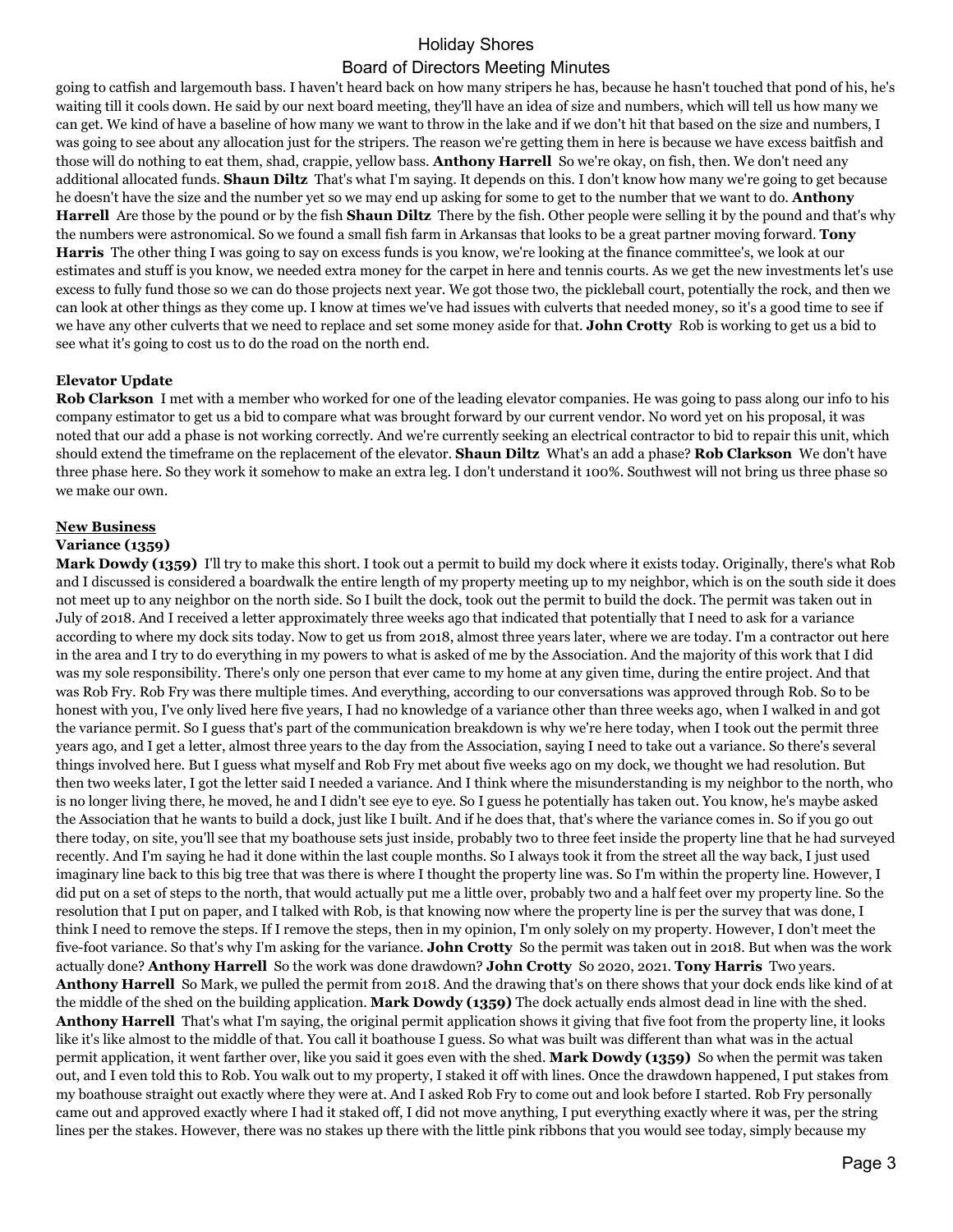going to catfish and largemouth bass. I haven't heard back on how many stripers he has, because he hasn't touched that pond of his, he's waiting till it cools down. He said by our next board meeting, they'll have an idea of size and numbers, which will tell us how many we can get. We kind of have a baseline of how many we want to throw in the lake and if we don't hit that based on the size and numbers, I was going to see about any allocation just for the stripers. The reason we're getting them in here is because we have excess baitfish and those will do nothing to eat them, shad, crappie, yellow bass. **Anthony Harrell** So we're okay, on fish, then. We don't need any additional allocated funds. **Shaun Diltz** That's what I'm saying. It depends on this. I don't know how many we're going to get because he doesn't have the size and the number yet so we may end up asking for some to get to the number that we want to do. **Anthony Harrell** Are those by the pound or by the fish **Shaun Diltz** There by the fish. Other people were selling it by the pound and that's why the numbers were astronomical. So we found a small fish farm in Arkansas that looks to be a great partner moving forward. **Tony Harris** The other thing I was going to say on excess funds is you know, we're looking at the finance committee's, we look at our estimates and stuff is you know, we needed extra money for the carpet in here and tennis courts. As we get the new investments let's use excess to fully fund those so we can do those projects next year. We got those two, the pickleball court, potentially the rock, and then we can look at other things as they come up. I know at times we've had issues with culverts that needed money, so it's a good time to see if we have any other culverts that we need to replace and set some money aside for that. **John Crotty** Rob is working to get us a bid to see what it's going to cost us to do the road on the north end.

## **Elevator Update**

**Rob Clarkson** I met with a member who worked for one of the leading elevator companies. He was going to pass along our info to his company estimator to get us a bid to compare what was brought forward by our current vendor. No word yet on his proposal, it was noted that our add a phase is not working correctly. And we're currently seeking an electrical contractor to bid to repair this unit, which should extend the timeframe on the replacement of the elevator. **Shaun Diltz** What's an add a phase? **Rob Clarkson** We don't have three phase here. So they work it somehow to make an extra leg. I don't understand it 100%. Southwest will not bring us three phase so we make our own.

## **New Business**

### **Variance (1359)**

**Mark Dowdy (1359)** I'll try to make this short. I took out a permit to build my dock where it exists today. Originally, there's what Rob and I discussed is considered a boardwalk the entire length of my property meeting up to my neighbor, which is on the south side it does not meet up to any neighbor on the north side. So I built the dock, took out the permit to build the dock. The permit was taken out in July of 2018. And I received a letter approximately three weeks ago that indicated that potentially that I need to ask for a variance according to where my dock sits today. Now to get us from 2018, almost three years later, where we are today. I'm a contractor out here in the area and I try to do everything in my powers to what is asked of me by the Association. And the majority of this work that I did was my sole responsibility. There's only one person that ever came to my home at any given time, during the entire project. And that was Rob Fry. Rob Fry was there multiple times. And everything, according to our conversations was approved through Rob. So to be honest with you, I've only lived here five years, I had no knowledge of a variance other than three weeks ago, when I walked in and got the variance permit. So I guess that's part of the communication breakdown is why we're here today, when I took out the permit three years ago, and I get a letter, almost three years to the day from the Association, saying I need to take out a variance. So there's several things involved here. But I guess what myself and Rob Fry met about five weeks ago on my dock, we thought we had resolution. But then two weeks later, I got the letter said I needed a variance. And I think where the misunderstanding is my neighbor to the north, who is no longer living there, he moved, he and I didn't see eye to eye. So I guess he potentially has taken out. You know, he's maybe asked the Association that he wants to build a dock, just like I built. And if he does that, that's where the variance comes in. So if you go out there today, on site, you'll see that my boathouse sets just inside, probably two to three feet inside the property line that he had surveyed recently. And I'm saying he had it done within the last couple months. So I always took it from the street all the way back, I just used imaginary line back to this big tree that was there is where I thought the property line was. So I'm within the property line. However, I did put on a set of steps to the north, that would actually put me a little over, probably two and a half feet over my property line. So the resolution that I put on paper, and I talked with Rob, is that knowing now where the property line is per the survey that was done, I think I need to remove the steps. If I remove the steps, then in my opinion, I'm only solely on my property. However, I don't meet the five-foot variance. So that's why I'm asking for the variance. **John Crotty** So the permit was taken out in 2018. But when was the work actually done? **Anthony Harrell** So the work was done drawdown? **John Crotty** So 2020, 2021. **Tony Harris** Two years. **Anthony Harrell** So Mark, we pulled the permit from 2018. And the drawing that's on there shows that your dock ends like kind of at the middle of the shed on the building application. **Mark Dowdy (1359)** The dock actually ends almost dead in line with the shed. **Anthony Harrell** That's what I'm saying, the original permit application shows it giving that five foot from the property line, it looks like it's like almost to the middle of that. You call it boathouse I guess. So what was built was different than what was in the actual permit application, it went farther over, like you said it goes even with the shed. **Mark Dowdy (1359)** So when the permit was taken out, and I even told this to Rob. You walk out to my property, I staked it off with lines. Once the drawdown happened, I put stakes from my boathouse straight out exactly where they were at. And I asked Rob Fry to come out and look before I started. Rob Fry personally came out and approved exactly where I had it staked off, I did not move anything, I put everything exactly where it was, per the string lines per the stakes. However, there was no stakes up there with the little pink ribbons that you would see today, simply because my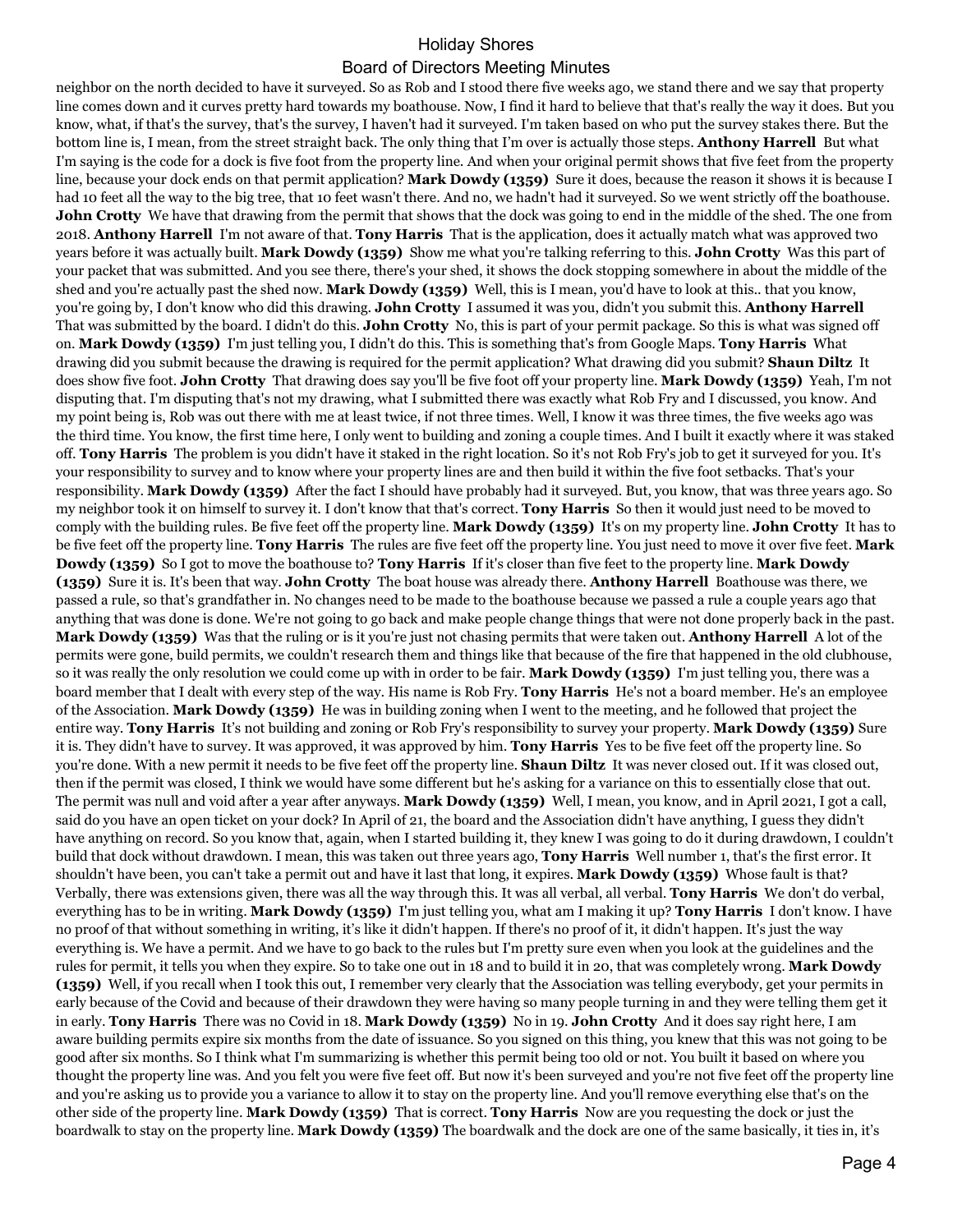neighbor on the north decided to have it surveyed. So as Rob and I stood there five weeks ago, we stand there and we say that property line comes down and it curves pretty hard towards my boathouse. Now, I find it hard to believe that that's really the way it does. But you know, what, if that's the survey, that's the survey, I haven't had it surveyed. I'm taken based on who put the survey stakes there. But the bottom line is, I mean, from the street straight back. The only thing that I'm over is actually those steps. **Anthony Harrell** But what I'm saying is the code for a dock is five foot from the property line. And when your original permit shows that five feet from the property line, because your dock ends on that permit application? **Mark Dowdy (1359)** Sure it does, because the reason it shows it is because I had 10 feet all the way to the big tree, that 10 feet wasn't there. And no, we hadn't had it surveyed. So we went strictly off the boathouse. **John Crotty** We have that drawing from the permit that shows that the dock was going to end in the middle of the shed. The one from 2018. **Anthony Harrell** I'm not aware of that. **Tony Harris** That is the application, does it actually match what was approved two years before it was actually built. **Mark Dowdy (1359)** Show me what you're talking referring to this. **John Crotty** Was this part of your packet that was submitted. And you see there, there's your shed, it shows the dock stopping somewhere in about the middle of the shed and you're actually past the shed now. **Mark Dowdy (1359)** Well, this is I mean, you'd have to look at this.. that you know, you're going by, I don't know who did this drawing. **John Crotty** I assumed it was you, didn't you submit this. **Anthony Harrell** That was submitted by the board. I didn't do this. **John Crotty** No, this is part of your permit package. So this is what was signed off on. **Mark Dowdy (1359)** I'm just telling you, I didn't do this. This is something that's from Google Maps. **Tony Harris** What drawing did you submit because the drawing is required for the permit application? What drawing did you submit? **Shaun Diltz** It does show five foot. **John Crotty** That drawing does say you'll be five foot off your property line. **Mark Dowdy (1359)** Yeah, I'm not disputing that. I'm disputing that's not my drawing, what I submitted there was exactly what Rob Fry and I discussed, you know. And my point being is, Rob was out there with me at least twice, if not three times. Well, I know it was three times, the five weeks ago was the third time. You know, the first time here, I only went to building and zoning a couple times. And I built it exactly where it was staked off. **Tony Harris** The problem is you didn't have it staked in the right location. So it's not Rob Fry's job to get it surveyed for you. It's your responsibility to survey and to know where your property lines are and then build it within the five foot setbacks. That's your responsibility. **Mark Dowdy (1359)** After the fact I should have probably had it surveyed. But, you know, that was three years ago. So my neighbor took it on himself to survey it. I don't know that that's correct. **Tony Harris** So then it would just need to be moved to comply with the building rules. Be five feet off the property line. **Mark Dowdy (1359)** It's on my property line. **John Crotty** It has to be five feet off the property line. **Tony Harris** The rules are five feet off the property line. You just need to move it over five feet. **Mark Dowdy (1359)** So I got to move the boathouse to? **Tony Harris** If it's closer than five feet to the property line. **Mark Dowdy (1359)** Sure it is. It's been that way. **John Crotty** The boat house was already there. **Anthony Harrell** Boathouse was there, we passed a rule, so that's grandfather in. No changes need to be made to the boathouse because we passed a rule a couple years ago that anything that was done is done. We're not going to go back and make people change things that were not done properly back in the past. **Mark Dowdy (1359)** Was that the ruling or is it you're just not chasing permits that were taken out. **Anthony Harrell** A lot of the permits were gone, build permits, we couldn't research them and things like that because of the fire that happened in the old clubhouse, so it was really the only resolution we could come up with in order to be fair. **Mark Dowdy (1359)** I'm just telling you, there was a board member that I dealt with every step of the way. His name is Rob Fry. **Tony Harris** He's not a board member. He's an employee of the Association. **Mark Dowdy (1359)** He was in building zoning when I went to the meeting, and he followed that project the entire way. **Tony Harris** It's not building and zoning or Rob Fry's responsibility to survey your property. **Mark Dowdy (1359)** Sure it is. They didn't have to survey. It was approved, it was approved by him. **Tony Harris** Yes to be five feet off the property line. So you're done. With a new permit it needs to be five feet off the property line. **Shaun Diltz** It was never closed out. If it was closed out, then if the permit was closed, I think we would have some different but he's asking for a variance on this to essentially close that out. The permit was null and void after a year after anyways. **Mark Dowdy (1359)** Well, I mean, you know, and in April 2021, I got a call, said do you have an open ticket on your dock? In April of 21, the board and the Association didn't have anything, I guess they didn't have anything on record. So you know that, again, when I started building it, they knew I was going to do it during drawdown, I couldn't build that dock without drawdown. I mean, this was taken out three years ago, **Tony Harris** Well number 1, that's the first error. It shouldn't have been, you can't take a permit out and have it last that long, it expires. **Mark Dowdy (1359)** Whose fault is that? Verbally, there was extensions given, there was all the way through this. It was all verbal, all verbal. **Tony Harris** We don't do verbal, everything has to be in writing. **Mark Dowdy (1359)** I'm just telling you, what am I making it up? **Tony Harris** I don't know. I have no proof of that without something in writing, it's like it didn't happen. If there's no proof of it, it didn't happen. It's just the way everything is. We have a permit. And we have to go back to the rules but I'm pretty sure even when you look at the guidelines and the rules for permit, it tells you when they expire. So to take one out in 18 and to build it in 20, that was completely wrong. **Mark Dowdy (1359)** Well, if you recall when I took this out, I remember very clearly that the Association was telling everybody, get your permits in early because of the Covid and because of their drawdown they were having so many people turning in and they were telling them get it in early. **Tony Harris** There was no Covid in 18. **Mark Dowdy (1359)** No in 19. **John Crotty** And it does say right here, I am aware building permits expire six months from the date of issuance. So you signed on this thing, you knew that this was not going to be good after six months. So I think what I'm summarizing is whether this permit being too old or not. You built it based on where you thought the property line was. And you felt you were five feet off. But now it's been surveyed and you're not five feet off the property line and you're asking us to provide you a variance to allow it to stay on the property line. And you'll remove everything else that's on the other side of the property line. **Mark Dowdy (1359)** That is correct. **Tony Harris** Now are you requesting the dock or just the boardwalk to stay on the property line. **Mark Dowdy (1359)** The boardwalk and the dock are one of the same basically, it ties in, it's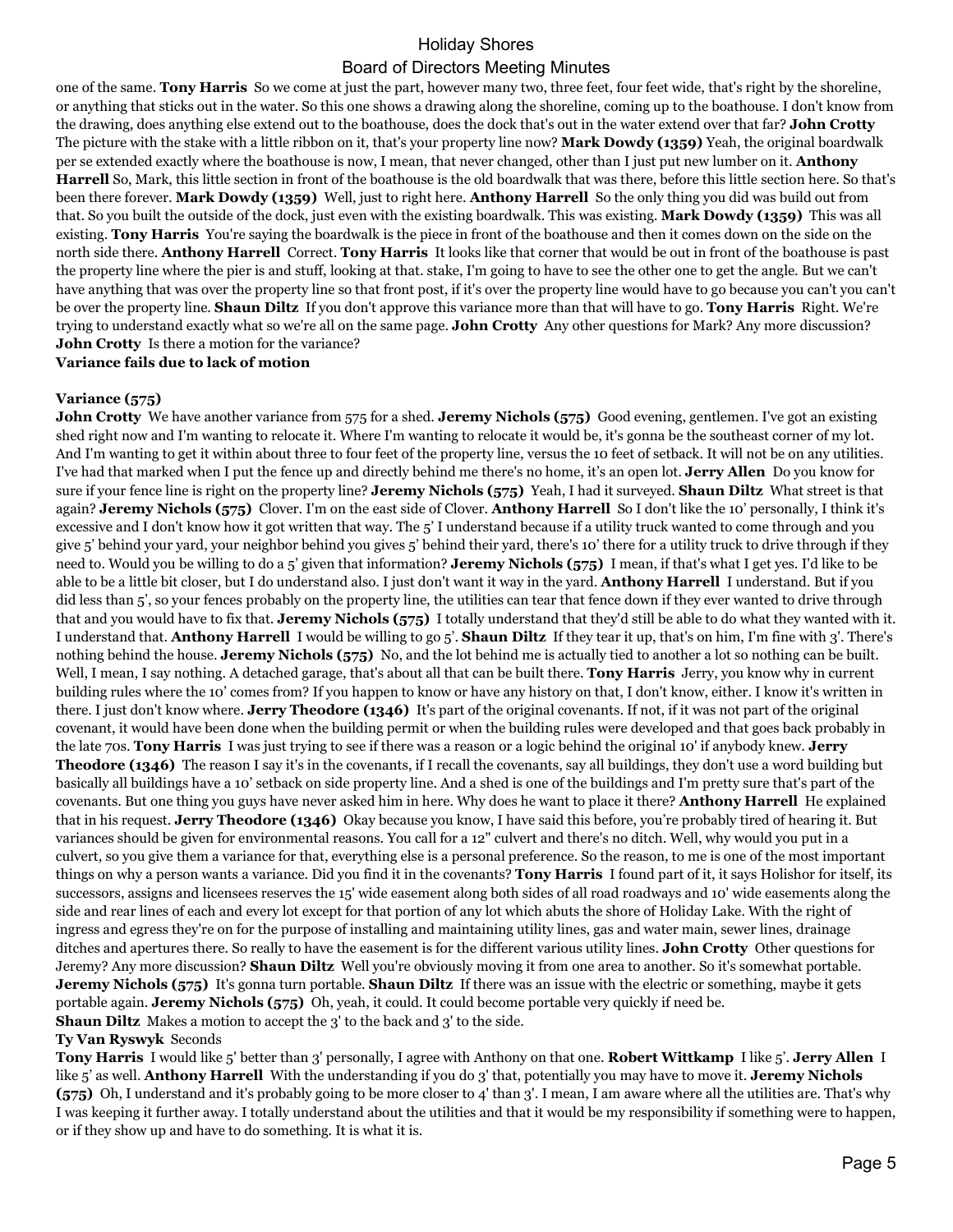one of the same. **Tony Harris** So we come at just the part, however many two, three feet, four feet wide, that's right by the shoreline, or anything that sticks out in the water. So this one shows a drawing along the shoreline, coming up to the boathouse. I don't know from the drawing, does anything else extend out to the boathouse, does the dock that's out in the water extend over that far? **John Crotty** The picture with the stake with a little ribbon on it, that's your property line now? **Mark Dowdy (1359)** Yeah, the original boardwalk per se extended exactly where the boathouse is now, I mean, that never changed, other than I just put new lumber on it. **Anthony Harrell** So, Mark, this little section in front of the boathouse is the old boardwalk that was there, before this little section here. So that's been there forever. **Mark Dowdy (1359)** Well, just to right here. **Anthony Harrell** So the only thing you did was build out from that. So you built the outside of the dock, just even with the existing boardwalk. This was existing. **Mark Dowdy (1359)** This was all existing. **Tony Harris** You're saying the boardwalk is the piece in front of the boathouse and then it comes down on the side on the north side there. **Anthony Harrell** Correct. **Tony Harris** It looks like that corner that would be out in front of the boathouse is past the property line where the pier is and stuff, looking at that. stake, I'm going to have to see the other one to get the angle. But we can't have anything that was over the property line so that front post, if it's over the property line would have to go because you can't you can't be over the property line. **Shaun Diltz** If you don't approve this variance more than that will have to go. **Tony Harris** Right. We're trying to understand exactly what so we're all on the same page. **John Crotty** Any other questions for Mark? Any more discussion? **John Crotty** Is there a motion for the variance?

**Variance fails due to lack of motion**

## **Variance (575)**

**John Crotty** We have another variance from 575 for a shed. **Jeremy Nichols (575)** Good evening, gentlemen. I've got an existing shed right now and I'm wanting to relocate it. Where I'm wanting to relocate it would be, it's gonna be the southeast corner of my lot. And I'm wanting to get it within about three to four feet of the property line, versus the 10 feet of setback. It will not be on any utilities. I've had that marked when I put the fence up and directly behind me there's no home, it's an open lot. **Jerry Allen** Do you know for sure if your fence line is right on the property line? **Jeremy Nichols (575)** Yeah, I had it surveyed. **Shaun Diltz** What street is that again? **Jeremy Nichols (575)** Clover. I'm on the east side of Clover. **Anthony Harrell** So I don't like the 10' personally, I think it's excessive and I don't know how it got written that way. The 5' I understand because if a utility truck wanted to come through and you give 5' behind your yard, your neighbor behind you gives 5' behind their yard, there's 10' there for a utility truck to drive through if they need to. Would you be willing to do a 5' given that information? **Jeremy Nichols (575)** I mean, if that's what I get yes. I'd like to be able to be a little bit closer, but I do understand also. I just don't want it way in the yard. **Anthony Harrell** I understand. But if you did less than 5', so your fences probably on the property line, the utilities can tear that fence down if they ever wanted to drive through that and you would have to fix that. **Jeremy Nichols (575)** I totally understand that they'd still be able to do what they wanted with it. I understand that. **Anthony Harrell** I would be willing to go 5'. **Shaun Diltz** If they tear it up, that's on him, I'm fine with 3'. There's nothing behind the house. **Jeremy Nichols (575)** No, and the lot behind me is actually tied to another a lot so nothing can be built. Well, I mean, I say nothing. A detached garage, that's about all that can be built there. **Tony Harris** Jerry, you know why in current building rules where the 10' comes from? If you happen to know or have any history on that, I don't know, either. I know it's written in there. I just don't know where. **Jerry Theodore (1346)** It's part of the original covenants. If not, if it was not part of the original covenant, it would have been done when the building permit or when the building rules were developed and that goes back probably in the late 70s. **Tony Harris** I was just trying to see if there was a reason or a logic behind the original 10' if anybody knew. **Jerry Theodore (1346)** The reason I say it's in the covenants, if I recall the covenants, say all buildings, they don't use a word building but basically all buildings have a 10' setback on side property line. And a shed is one of the buildings and I'm pretty sure that's part of the covenants. But one thing you guys have never asked him in here. Why does he want to place it there? **Anthony Harrell** He explained that in his request. **Jerry Theodore (1346)** Okay because you know, I have said this before, you're probably tired of hearing it. But variances should be given for environmental reasons. You call for a 12" culvert and there's no ditch. Well, why would you put in a culvert, so you give them a variance for that, everything else is a personal preference. So the reason, to me is one of the most important things on why a person wants a variance. Did you find it in the covenants? **Tony Harris** I found part of it, it says Holishor for itself, its successors, assigns and licensees reserves the 15' wide easement along both sides of all road roadways and 10' wide easements along the side and rear lines of each and every lot except for that portion of any lot which abuts the shore of Holiday Lake. With the right of ingress and egress they're on for the purpose of installing and maintaining utility lines, gas and water main, sewer lines, drainage ditches and apertures there. So really to have the easement is for the different various utility lines. **John Crotty** Other questions for Jeremy? Any more discussion? **Shaun Diltz** Well you're obviously moving it from one area to another. So it's somewhat portable. **Jeremy Nichols (575)** It's gonna turn portable. **Shaun Diltz** If there was an issue with the electric or something, maybe it gets portable again. **Jeremy Nichols (575)** Oh, yeah, it could. It could become portable very quickly if need be. **Shaun Diltz** Makes a motion to accept the 3' to the back and 3' to the side.

#### **Ty Van Ryswyk** Seconds

**Tony Harris** I would like 5' better than 3' personally, I agree with Anthony on that one. **Robert Wittkamp** I like 5'. **Jerry Allen** I like 5' as well. **Anthony Harrell** With the understanding if you do 3' that, potentially you may have to move it. **Jeremy Nichols (575)** Oh, I understand and it's probably going to be more closer to 4' than 3'. I mean, I am aware where all the utilities are. That's why I was keeping it further away. I totally understand about the utilities and that it would be my responsibility if something were to happen, or if they show up and have to do something. It is what it is.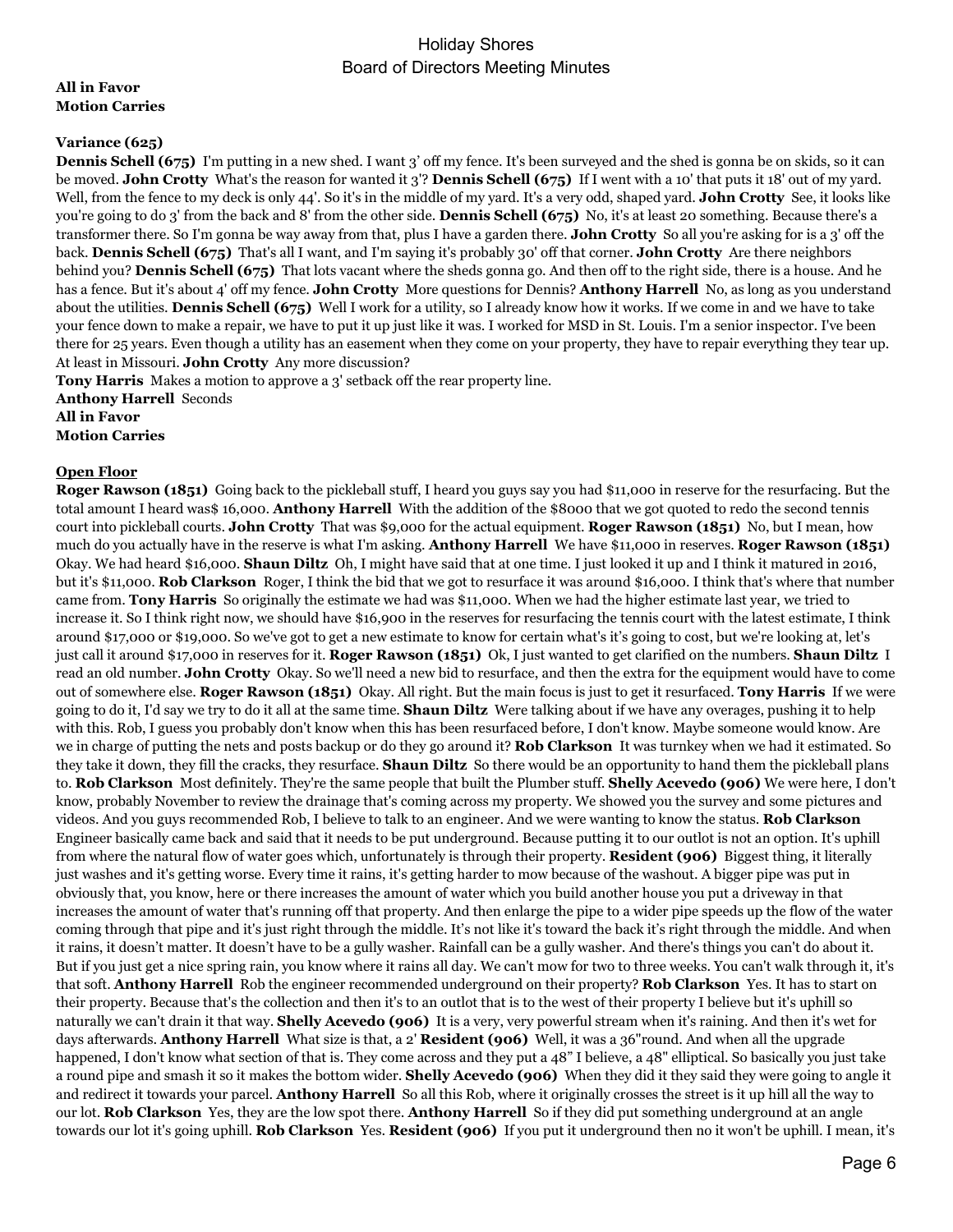## **All in Favor Motion Carries**

## **Variance (625)**

**Dennis Schell (675)** I'm putting in a new shed. I want 3' off my fence. It's been surveyed and the shed is gonna be on skids, so it can be moved. **John Crotty** What's the reason for wanted it 3'? **Dennis Schell (675)** If I went with a 10' that puts it 18' out of my yard. Well, from the fence to my deck is only 44'. So it's in the middle of my yard. It's a very odd, shaped yard. **John Crotty** See, it looks like you're going to do 3' from the back and 8' from the other side. **Dennis Schell (675)** No, it's at least 20 something. Because there's a transformer there. So I'm gonna be way away from that, plus I have a garden there. **John Crotty** So all you're asking for is a 3' off the back. **Dennis Schell (675)** That's all I want, and I'm saying it's probably 30' off that corner. **John Crotty** Are there neighbors behind you? **Dennis Schell (675)** That lots vacant where the sheds gonna go. And then off to the right side, there is a house. And he has a fence. But it's about 4' off my fence. **John Crotty** More questions for Dennis? **Anthony Harrell** No, as long as you understand about the utilities. **Dennis Schell (675)** Well I work for a utility, so I already know how it works. If we come in and we have to take your fence down to make a repair, we have to put it up just like it was. I worked for MSD in St. Louis. I'm a senior inspector. I've been there for 25 years. Even though a utility has an easement when they come on your property, they have to repair everything they tear up. At least in Missouri. **John Crotty** Any more discussion?

**Tony Harris** Makes a motion to approve a 3' setback off the rear property line. **Anthony Harrell** Seconds **All in Favor Motion Carries**

### **Open Floor**

**Roger Rawson (1851)** Going back to the pickleball stuff, I heard you guys say you had \$11,000 in reserve for the resurfacing. But the total amount I heard was\$ 16,000. **Anthony Harrell** With the addition of the \$8000 that we got quoted to redo the second tennis court into pickleball courts. **John Crotty** That was \$9,000 for the actual equipment. **Roger Rawson (1851)** No, but I mean, how much do you actually have in the reserve is what I'm asking. **Anthony Harrell** We have \$11,000 in reserves. **Roger Rawson (1851)** Okay. We had heard \$16,000. **Shaun Diltz** Oh, I might have said that at one time. I just looked it up and I think it matured in 2016, but it's \$11,000. **Rob Clarkson** Roger, I think the bid that we got to resurface it was around \$16,000. I think that's where that number came from. **Tony Harris** So originally the estimate we had was \$11,000. When we had the higher estimate last year, we tried to increase it. So I think right now, we should have \$16,900 in the reserves for resurfacing the tennis court with the latest estimate, I think around \$17,000 or \$19,000. So we've got to get a new estimate to know for certain what's it's going to cost, but we're looking at, let's just call it around \$17,000 in reserves for it. **Roger Rawson (1851)** Ok, I just wanted to get clarified on the numbers. **Shaun Diltz** I read an old number. **John Crotty** Okay. So we'll need a new bid to resurface, and then the extra for the equipment would have to come out of somewhere else. **Roger Rawson (1851)** Okay. All right. But the main focus is just to get it resurfaced. **Tony Harris** If we were going to do it, I'd say we try to do it all at the same time. **Shaun Diltz** Were talking about if we have any overages, pushing it to help with this. Rob, I guess you probably don't know when this has been resurfaced before, I don't know. Maybe someone would know. Are we in charge of putting the nets and posts backup or do they go around it? **Rob Clarkson** It was turnkey when we had it estimated. So they take it down, they fill the cracks, they resurface. **Shaun Diltz** So there would be an opportunity to hand them the pickleball plans to. **Rob Clarkson** Most definitely. They're the same people that built the Plumber stuff. **Shelly Acevedo (906)** We were here, I don't know, probably November to review the drainage that's coming across my property. We showed you the survey and some pictures and videos. And you guys recommended Rob, I believe to talk to an engineer. And we were wanting to know the status. **Rob Clarkson** Engineer basically came back and said that it needs to be put underground. Because putting it to our outlot is not an option. It's uphill from where the natural flow of water goes which, unfortunately is through their property. **Resident (906)** Biggest thing, it literally just washes and it's getting worse. Every time it rains, it's getting harder to mow because of the washout. A bigger pipe was put in obviously that, you know, here or there increases the amount of water which you build another house you put a driveway in that increases the amount of water that's running off that property. And then enlarge the pipe to a wider pipe speeds up the flow of the water coming through that pipe and it's just right through the middle. It's not like it's toward the back it's right through the middle. And when it rains, it doesn't matter. It doesn't have to be a gully washer. Rainfall can be a gully washer. And there's things you can't do about it. But if you just get a nice spring rain, you know where it rains all day. We can't mow for two to three weeks. You can't walk through it, it's that soft. **Anthony Harrell** Rob the engineer recommended underground on their property? **Rob Clarkson** Yes. It has to start on their property. Because that's the collection and then it's to an outlot that is to the west of their property I believe but it's uphill so naturally we can't drain it that way. **Shelly Acevedo (906)** It is a very, very powerful stream when it's raining. And then it's wet for days afterwards. **Anthony Harrell** What size is that, a 2' **Resident (906)** Well, it was a 36"round. And when all the upgrade happened, I don't know what section of that is. They come across and they put a 48" I believe, a 48" elliptical. So basically you just take a round pipe and smash it so it makes the bottom wider. **Shelly Acevedo (906)** When they did it they said they were going to angle it and redirect it towards your parcel. **Anthony Harrell** So all this Rob, where it originally crosses the street is it up hill all the way to our lot. **Rob Clarkson** Yes, they are the low spot there. **Anthony Harrell** So if they did put something underground at an angle towards our lot it's going uphill. **Rob Clarkson** Yes. **Resident (906)** If you put it underground then no it won't be uphill. I mean, it's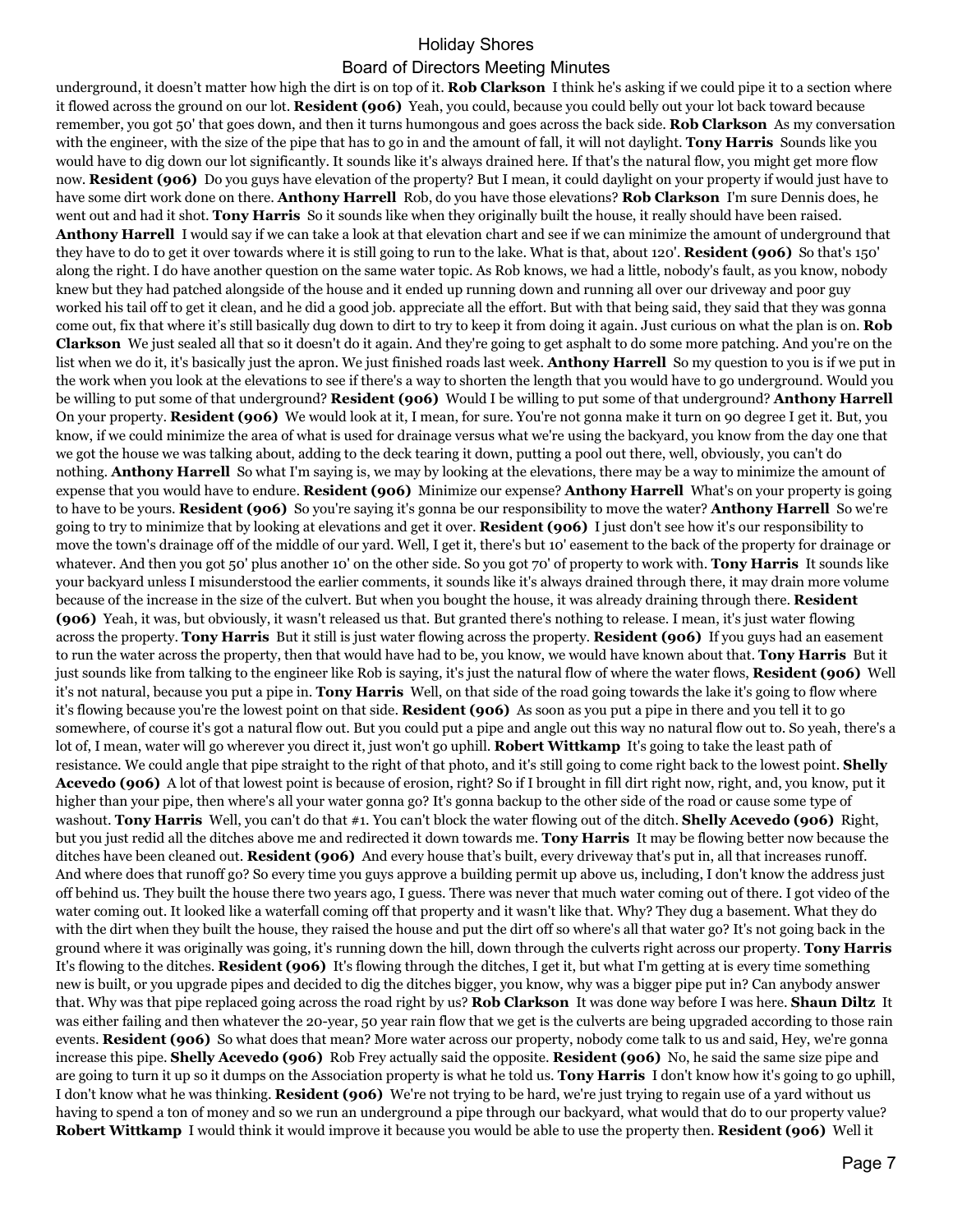## Holiday Shores

## Board of Directors Meeting Minutes

underground, it doesn't matter how high the dirt is on top of it. **Rob Clarkson** I think he's asking if we could pipe it to a section where it flowed across the ground on our lot. **Resident (906)** Yeah, you could, because you could belly out your lot back toward because remember, you got 50' that goes down, and then it turns humongous and goes across the back side. **Rob Clarkson** As my conversation with the engineer, with the size of the pipe that has to go in and the amount of fall, it will not daylight. **Tony Harris** Sounds like you would have to dig down our lot significantly. It sounds like it's always drained here. If that's the natural flow, you might get more flow now. **Resident (906)** Do you guys have elevation of the property? But I mean, it could daylight on your property if would just have to have some dirt work done on there. **Anthony Harrell** Rob, do you have those elevations? **Rob Clarkson** I'm sure Dennis does, he went out and had it shot. **Tony Harris** So it sounds like when they originally built the house, it really should have been raised. **Anthony Harrell** I would say if we can take a look at that elevation chart and see if we can minimize the amount of underground that they have to do to get it over towards where it is still going to run to the lake. What is that, about 120'. **Resident (906)** So that's 150' along the right. I do have another question on the same water topic. As Rob knows, we had a little, nobody's fault, as you know, nobody knew but they had patched alongside of the house and it ended up running down and running all over our driveway and poor guy worked his tail off to get it clean, and he did a good job. appreciate all the effort. But with that being said, they said that they was gonna come out, fix that where it's still basically dug down to dirt to try to keep it from doing it again. Just curious on what the plan is on. **Rob Clarkson** We just sealed all that so it doesn't do it again. And they're going to get asphalt to do some more patching. And you're on the list when we do it, it's basically just the apron. We just finished roads last week. **Anthony Harrell** So my question to you is if we put in the work when you look at the elevations to see if there's a way to shorten the length that you would have to go underground. Would you be willing to put some of that underground? **Resident (906)** Would I be willing to put some of that underground? **Anthony Harrell** On your property. **Resident (906)** We would look at it, I mean, for sure. You're not gonna make it turn on 90 degree I get it. But, you know, if we could minimize the area of what is used for drainage versus what we're using the backyard, you know from the day one that we got the house we was talking about, adding to the deck tearing it down, putting a pool out there, well, obviously, you can't do nothing. **Anthony Harrell** So what I'm saying is, we may by looking at the elevations, there may be a way to minimize the amount of expense that you would have to endure. **Resident (906)** Minimize our expense? **Anthony Harrell** What's on your property is going to have to be yours. **Resident (906)** So you're saying it's gonna be our responsibility to move the water? **Anthony Harrell** So we're going to try to minimize that by looking at elevations and get it over. **Resident (906)** I just don't see how it's our responsibility to move the town's drainage off of the middle of our yard. Well, I get it, there's but 10' easement to the back of the property for drainage or whatever. And then you got 50' plus another 10' on the other side. So you got 70' of property to work with. **Tony Harris** It sounds like your backyard unless I misunderstood the earlier comments, it sounds like it's always drained through there, it may drain more volume because of the increase in the size of the culvert. But when you bought the house, it was already draining through there. **Resident (906)** Yeah, it was, but obviously, it wasn't released us that. But granted there's nothing to release. I mean, it's just water flowing across the property. **Tony Harris** But it still is just water flowing across the property. **Resident (906)** If you guys had an easement to run the water across the property, then that would have had to be, you know, we would have known about that. **Tony Harris** But it just sounds like from talking to the engineer like Rob is saying, it's just the natural flow of where the water flows, **Resident (906)** Well it's not natural, because you put a pipe in. **Tony Harris** Well, on that side of the road going towards the lake it's going to flow where it's flowing because you're the lowest point on that side. **Resident (906)** As soon as you put a pipe in there and you tell it to go somewhere, of course it's got a natural flow out. But you could put a pipe and angle out this way no natural flow out to. So yeah, there's a lot of, I mean, water will go wherever you direct it, just won't go uphill. **Robert Wittkamp** It's going to take the least path of resistance. We could angle that pipe straight to the right of that photo, and it's still going to come right back to the lowest point. **Shelly Acevedo (906)** A lot of that lowest point is because of erosion, right? So if I brought in fill dirt right now, right, and, you know, put it higher than your pipe, then where's all your water gonna go? It's gonna backup to the other side of the road or cause some type of washout. **Tony Harris** Well, you can't do that #1. You can't block the water flowing out of the ditch. **Shelly Acevedo (906)** Right, but you just redid all the ditches above me and redirected it down towards me. **Tony Harris** It may be flowing better now because the ditches have been cleaned out. **Resident (906)** And every house that's built, every driveway that's put in, all that increases runoff. And where does that runoff go? So every time you guys approve a building permit up above us, including, I don't know the address just off behind us. They built the house there two years ago, I guess. There was never that much water coming out of there. I got video of the water coming out. It looked like a waterfall coming off that property and it wasn't like that. Why? They dug a basement. What they do with the dirt when they built the house, they raised the house and put the dirt off so where's all that water go? It's not going back in the ground where it was originally was going, it's running down the hill, down through the culverts right across our property. **Tony Harris** It's flowing to the ditches. **Resident (906)** It's flowing through the ditches, I get it, but what I'm getting at is every time something new is built, or you upgrade pipes and decided to dig the ditches bigger, you know, why was a bigger pipe put in? Can anybody answer that. Why was that pipe replaced going across the road right by us? **Rob Clarkson** It was done way before I was here. **Shaun Diltz** It was either failing and then whatever the 20-year, 50 year rain flow that we get is the culverts are being upgraded according to those rain events. **Resident (906)** So what does that mean? More water across our property, nobody come talk to us and said, Hey, we're gonna increase this pipe. **Shelly Acevedo (906)** Rob Frey actually said the opposite. **Resident (906)** No, he said the same size pipe and are going to turn it up so it dumps on the Association property is what he told us. **Tony Harris** I don't know how it's going to go uphill, I don't know what he was thinking. **Resident (906)** We're not trying to be hard, we're just trying to regain use of a yard without us having to spend a ton of money and so we run an underground a pipe through our backyard, what would that do to our property value? **Robert Wittkamp** I would think it would improve it because you would be able to use the property then. **Resident (906)** Well it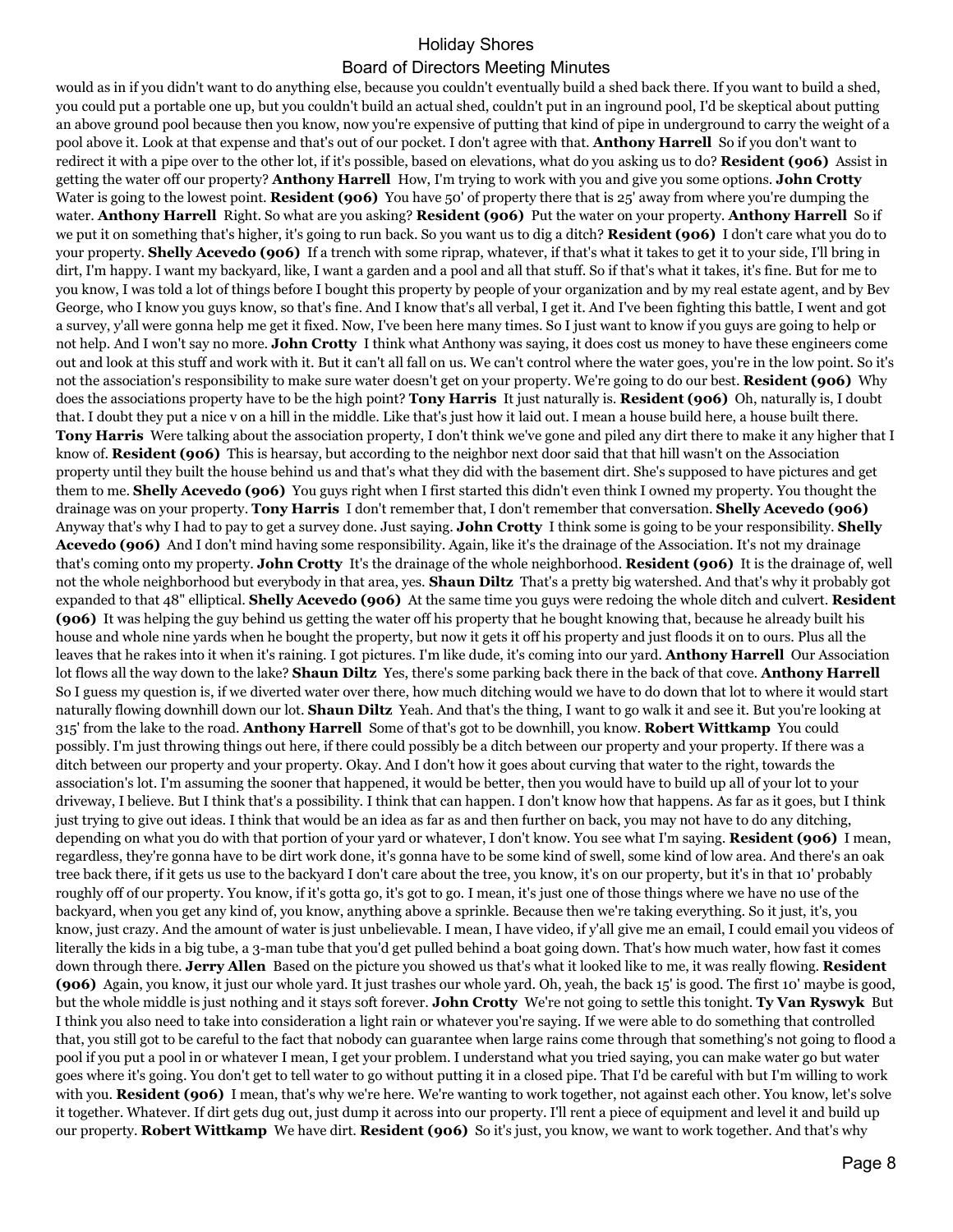## would as in if you didn't want to do anything else, because you couldn't eventually build a shed back there. If you want to build a shed, you could put a portable one up, but you couldn't build an actual shed, couldn't put in an inground pool, I'd be skeptical about putting an above ground pool because then you know, now you're expensive of putting that kind of pipe in underground to carry the weight of a pool above it. Look at that expense and that's out of our pocket. I don't agree with that. **Anthony Harrell** So if you don't want to redirect it with a pipe over to the other lot, if it's possible, based on elevations, what do you asking us to do? **Resident (906)** Assist in getting the water off our property? **Anthony Harrell** How, I'm trying to work with you and give you some options. **John Crotty** Water is going to the lowest point. **Resident (906)** You have 50' of property there that is 25' away from where you're dumping the water. **Anthony Harrell** Right. So what are you asking? **Resident (906)** Put the water on your property. **Anthony Harrell** So if we put it on something that's higher, it's going to run back. So you want us to dig a ditch? **Resident (906)** I don't care what you do to your property. **Shelly Acevedo (906)** If a trench with some riprap, whatever, if that's what it takes to get it to your side, I'll bring in dirt, I'm happy. I want my backyard, like, I want a garden and a pool and all that stuff. So if that's what it takes, it's fine. But for me to you know, I was told a lot of things before I bought this property by people of your organization and by my real estate agent, and by Bev George, who I know you guys know, so that's fine. And I know that's all verbal, I get it. And I've been fighting this battle, I went and got a survey, y'all were gonna help me get it fixed. Now, I've been here many times. So I just want to know if you guys are going to help or not help. And I won't say no more. **John Crotty** I think what Anthony was saying, it does cost us money to have these engineers come out and look at this stuff and work with it. But it can't all fall on us. We can't control where the water goes, you're in the low point. So it's not the association's responsibility to make sure water doesn't get on your property. We're going to do our best. **Resident (906)** Why does the associations property have to be the high point? **Tony Harris** It just naturally is. **Resident (906)** Oh, naturally is, I doubt that. I doubt they put a nice v on a hill in the middle. Like that's just how it laid out. I mean a house build here, a house built there. **Tony Harris** Were talking about the association property, I don't think we've gone and piled any dirt there to make it any higher that I know of. **Resident (906)** This is hearsay, but according to the neighbor next door said that that hill wasn't on the Association property until they built the house behind us and that's what they did with the basement dirt. She's supposed to have pictures and get them to me. **Shelly Acevedo (906)** You guys right when I first started this didn't even think I owned my property. You thought the drainage was on your property. **Tony Harris** I don't remember that, I don't remember that conversation. **Shelly Acevedo (906)** Anyway that's why I had to pay to get a survey done. Just saying. **John Crotty** I think some is going to be your responsibility. **Shelly Acevedo (906)** And I don't mind having some responsibility. Again, like it's the drainage of the Association. It's not my drainage that's coming onto my property. **John Crotty** It's the drainage of the whole neighborhood. **Resident (906)** It is the drainage of, well not the whole neighborhood but everybody in that area, yes. **Shaun Diltz** That's a pretty big watershed. And that's why it probably got expanded to that 48" elliptical. **Shelly Acevedo (906)** At the same time you guys were redoing the whole ditch and culvert. **Resident (906)** It was helping the guy behind us getting the water off his property that he bought knowing that, because he already built his house and whole nine yards when he bought the property, but now it gets it off his property and just floods it on to ours. Plus all the leaves that he rakes into it when it's raining. I got pictures. I'm like dude, it's coming into our yard. **Anthony Harrell** Our Association lot flows all the way down to the lake? **Shaun Diltz** Yes, there's some parking back there in the back of that cove. **Anthony Harrell** So I guess my question is, if we diverted water over there, how much ditching would we have to do down that lot to where it would start naturally flowing downhill down our lot. **Shaun Diltz** Yeah. And that's the thing, I want to go walk it and see it. But you're looking at 315' from the lake to the road. **Anthony Harrell** Some of that's got to be downhill, you know. **Robert Wittkamp** You could possibly. I'm just throwing things out here, if there could possibly be a ditch between our property and your property. If there was a ditch between our property and your property. Okay. And I don't how it goes about curving that water to the right, towards the association's lot. I'm assuming the sooner that happened, it would be better, then you would have to build up all of your lot to your driveway, I believe. But I think that's a possibility. I think that can happen. I don't know how that happens. As far as it goes, but I think just trying to give out ideas. I think that would be an idea as far as and then further on back, you may not have to do any ditching, depending on what you do with that portion of your yard or whatever, I don't know. You see what I'm saying. **Resident (906)** I mean, regardless, they're gonna have to be dirt work done, it's gonna have to be some kind of swell, some kind of low area. And there's an oak tree back there, if it gets us use to the backyard I don't care about the tree, you know, it's on our property, but it's in that 10' probably roughly off of our property. You know, if it's gotta go, it's got to go. I mean, it's just one of those things where we have no use of the backyard, when you get any kind of, you know, anything above a sprinkle. Because then we're taking everything. So it just, it's, you know, just crazy. And the amount of water is just unbelievable. I mean, I have video, if y'all give me an email, I could email you videos of literally the kids in a big tube, a 3-man tube that you'd get pulled behind a boat going down. That's how much water, how fast it comes down through there. **Jerry Allen** Based on the picture you showed us that's what it looked like to me, it was really flowing. **Resident (906)** Again, you know, it just our whole yard. It just trashes our whole yard. Oh, yeah, the back 15' is good. The first 10' maybe is good, but the whole middle is just nothing and it stays soft forever. **John Crotty** We're not going to settle this tonight. **Ty Van Ryswyk** But I think you also need to take into consideration a light rain or whatever you're saying. If we were able to do something that controlled that, you still got to be careful to the fact that nobody can guarantee when large rains come through that something's not going to flood a pool if you put a pool in or whatever I mean, I get your problem. I understand what you tried saying, you can make water go but water goes where it's going. You don't get to tell water to go without putting it in a closed pipe. That I'd be careful with but I'm willing to work with you. **Resident (906)** I mean, that's why we're here. We're wanting to work together, not against each other. You know, let's solve it together. Whatever. If dirt gets dug out, just dump it across into our property. I'll rent a piece of equipment and level it and build up our property. **Robert Wittkamp** We have dirt. **Resident (906)** So it's just, you know, we want to work together. And that's why